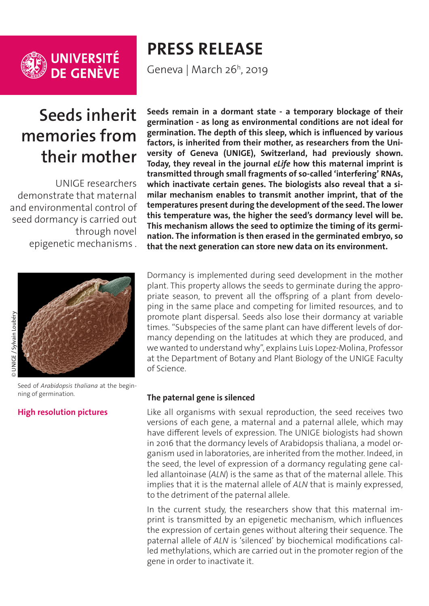

## **Seeds inherit memories from their mother**

UNIGE researchers demonstrate that maternal and environmental control of seed dormancy is carried out through novel epigenetic mechanisms .



Seed of *Arabidopsis thaliana* at the beginning of germination.

#### **[High resolution pictures](https://phototheque.unige.ch/documents/facets?newFacet=mot.cle.marc%3DCdP_190326_LopezMolina&clearFacets=1)**

# **PRESS RELEASE**

Geneva | March 26h, 2019

**Seeds remain in a dormant state - a temporary blockage of their germination - as long as environmental conditions are not ideal for germination. The depth of this sleep, which is influenced by various factors, is inherited from their mother, as researchers from the University of Geneva (UNIGE), Switzerland, had previously shown. Today, they reveal in the journal** *eLife* **how this maternal imprint is transmitted through small fragments of so-called 'interfering' RNAs, which inactivate certain genes. The biologists also reveal that a similar mechanism enables to transmit another imprint, that of the temperatures present during the development of the seed. The lower this temperature was, the higher the seed's dormancy level will be. This mechanism allows the seed to optimize the timing of its germination. The information is then erased in the germinated embryo, so that the next generation can store new data on its environment.** 

Dormancy is implemented during seed development in the mother plant. This property allows the seeds to germinate during the appropriate season, to prevent all the offspring of a plant from developing in the same place and competing for limited resources, and to promote plant dispersal. Seeds also lose their dormancy at variable times. "Subspecies of the same plant can have different levels of dormancy depending on the latitudes at which they are produced, and we wanted to understand why", explains Luis Lopez-Molina, Professor at the Department of Botany and Plant Biology of the UNIGE Faculty of Science.

#### **The paternal gene is silenced**

Like all organisms with sexual reproduction, the seed receives two versions of each gene, a maternal and a paternal allele, which may have different levels of expression. The UNIGE biologists had shown in 2016 that the dormancy levels of Arabidopsis thaliana, a model organism used in laboratories, are inherited from the mother. Indeed, in the seed, the level of expression of a dormancy regulating gene called allantoinase (*ALN*) is the same as that of the maternal allele. This implies that it is the maternal allele of *ALN* that is mainly expressed, to the detriment of the paternal allele.

In the current study, the researchers show that this maternal imprint is transmitted by an epigenetic mechanism, which influences the expression of certain genes without altering their sequence. The paternal allele of *ALN* is 'silenced' by biochemical modifications called methylations, which are carried out in the promoter region of the gene in order to inactivate it.